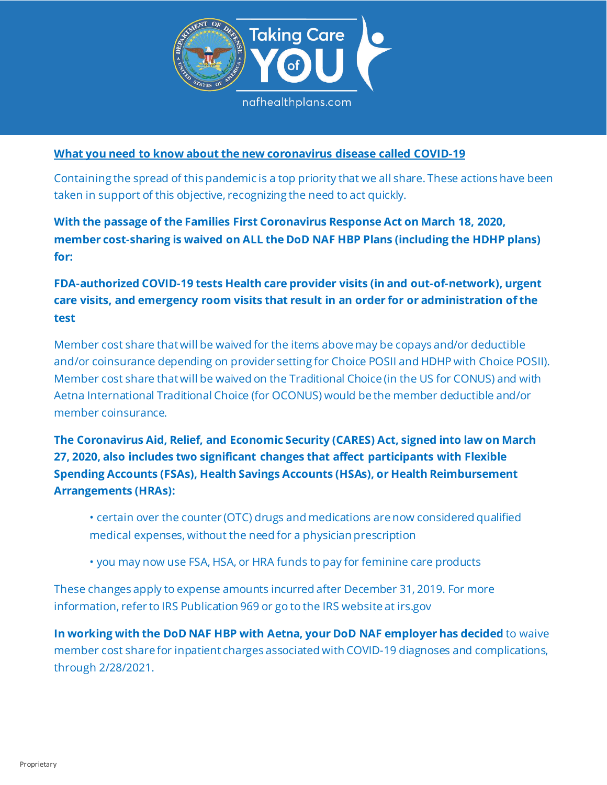

## **What you need to know about the new coronavirus disease called COVID-19**

Containing the spread of this pandemic is a top priority that we all share. These actions have been taken in support of this objective, recognizing the need to act quickly.

**With the passage of the Families First Coronavirus Response Act on March 18, 2020, member cost-sharing is waived on ALL the DoD NAF HBP Plans (including the HDHP plans) for:**

**FDA-authorized COVID-19 tests Health care provider visits (in and out-of-network), urgent care visits, and emergency room visits that result in an order for or administration of the test** 

Member cost share that will be waived for the items above may be copays and/or deductible and/or coinsurance depending on provider setting for Choice POSII and HDHP with Choice POSII). Member cost share that will be waived on the Traditional Choice (in the US for CONUS) and with Aetna International Traditional Choice (for OCONUS) would be the member deductible and/or member coinsurance.

**The Coronavirus Aid, Relief, and Economic Security (CARES) Act, signed into law on March 27, 2020, also includes two significant changes that affect participants with Flexible Spending Accounts (FSAs), Health Savings Accounts (HSAs), or Health Reimbursement Arrangements (HRAs):** 

• certain over the counter (OTC) drugs and medications are now considered qualified medical expenses, without the need for a physician prescription

• you may now use FSA, HSA, or HRA funds to pay for feminine care products

These changes apply to expense amounts incurred after December 31, 2019. For more information, refer to IRS Publication 969 or go to the IRS website at irs.gov

**In working with the DoD NAF HBP with Aetna, your DoD NAF employer has decided** to waive member cost share for inpatient charges associated with COVID-19 diagnoses and complications, through 2/28/2021.